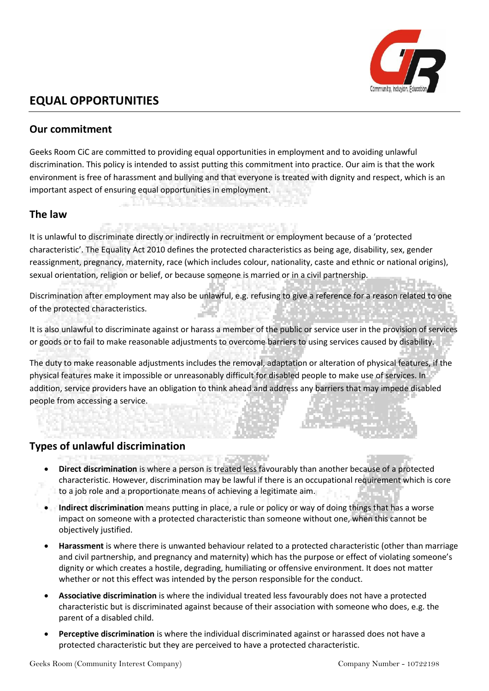

# **EQUAL OPPORTUNITIES**

#### **Our commitment**

Geeks Room CiC are committed to providing equal opportunities in employment and to avoiding unlawful discrimination. This policy is intended to assist putting this commitment into practice. Our aim is that the work environment is free of harassment and bullying and that everyone is treated with dignity and respect, which is an important aspect of ensuring equal opportunities in employment.

### **The law**

It is unlawful to discriminate directly or indirectly in recruitment or employment because of a 'protected characteristic'. The Equality Act 2010 defines the protected characteristics as being age, disability, sex, gender reassignment, pregnancy, maternity, race (which includes colour, nationality, caste and ethnic or national origins), sexual orientation, religion or belief, or because someone is married or in a civil partnership.

Discrimination after employment may also be unlawful, e.g. refusing to give a reference for a reason related to one of the protected characteristics.

It is also unlawful to discriminate against or harass a member of the public or service user in the provision of services or goods or to fail to make reasonable adjustments to overcome barriers to using services caused by disability.

The duty to make reasonable adjustments includes the removal, adaptation or alteration of physical features, if the physical features make it impossible or unreasonably difficult for disabled people to make use of services. In addition, service providers have an obligation to think ahead and address any barriers that may impede disabled people from accessing a service.

#### **Types of unlawful discrimination**

- **Direct discrimination** is where a person is treated less favourably than another because of a protected characteristic. However, discrimination may be lawful if there is an occupational requirement which is core to a job role and a proportionate means of achieving a legitimate aim.
- **Indirect discrimination** means putting in place, a rule or policy or way of doing things that has a worse impact on someone with a protected characteristic than someone without one, when this cannot be objectively justified.

in pu

- **Harassment** is where there is unwanted behaviour related to a protected characteristic (other than marriage and civil partnership, and pregnancy and maternity) which has the purpose or effect of violating someone's dignity or which creates a hostile, degrading, humiliating or offensive environment. It does not matter whether or not this effect was intended by the person responsible for the conduct.
- **Associative discrimination** is where the individual treated less favourably does not have a protected characteristic but is discriminated against because of their association with someone who does, e.g. the parent of a disabled child.
- **Perceptive discrimination** is where the individual discriminated against or harassed does not have a protected characteristic but they are perceived to have a protected characteristic.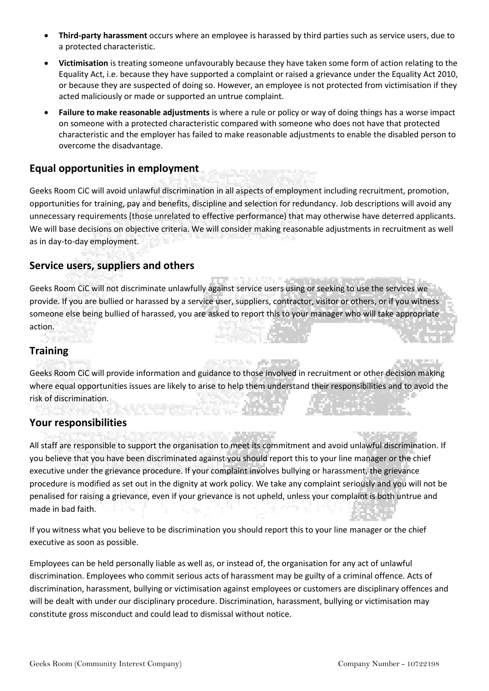- **Third-party harassment** occurs where an employee is harassed by third parties such as service users, due to a protected characteristic.
- **Victimisation** is treating someone unfavourably because they have taken some form of action relating to the Equality Act, i.e. because they have supported a complaint or raised a grievance under the Equality Act 2010, or because they are suspected of doing so. However, an employee is not protected from victimisation if they acted maliciously or made or supported an untrue complaint.
- **Failure to make reasonable adjustments** is where a rule or policy or way of doing things has a worse impact on someone with a protected characteristic compared with someone who does not have that protected characteristic and the employer has failed to make reasonable adjustments to enable the disabled person to overcome the disadvantage.

### **Equal opportunities in employment**

Geeks Room CiC will avoid unlawful discrimination in all aspects of employment including recruitment, promotion, opportunities for training, pay and benefits, discipline and selection for redundancy. Job descriptions will avoid any unnecessary requirements (those unrelated to effective performance) that may otherwise have deterred applicants. We will base decisions on objective criteria. We will consider making reasonable adjustments in recruitment as well as in day-to-day employment.

#### **Service users, suppliers and others**

Geeks Room CiC will not discriminate unlawfully against service users using or seeking to use the services we provide. If you are bullied or harassed by a service user, suppliers, contractor, visitor or others, or if you witness someone else being bullied of harassed, you are asked to report this to your manager who will take appropriate action.

# **Training**

Geeks Room CiC will provide information and guidance to those involved in recruitment or other decision making where equal opportunities issues are likely to arise to help them understand their responsibilities and to avoid the risk of discrimination.

**SECTION PRODUCT** 

#### **Your responsibilities**

All staff are responsible to support the organisation to meet its commitment and avoid unlawful discrimination. If you believe that you have been discriminated against you should report this to your line manager or the chief executive under the grievance procedure. If your complaint involves bullying or harassment, the grievance procedure is modified as set out in the dignity at work policy. We take any complaint seriously and you will not be penalised for raising a grievance, even if your grievance is not upheld, unless your complaint is both untrue and made in bad faith.

**Contract** 

If you witness what you believe to be discrimination you should report this to your line manager or the chief executive as soon as possible.

Employees can be held personally liable as well as, or instead of, the organisation for any act of unlawful discrimination. Employees who commit serious acts of harassment may be guilty of a criminal offence. Acts of discrimination, harassment, bullying or victimisation against employees or customers are disciplinary offences and will be dealt with under our disciplinary procedure. Discrimination, harassment, bullying or victimisation may constitute gross misconduct and could lead to dismissal without notice.